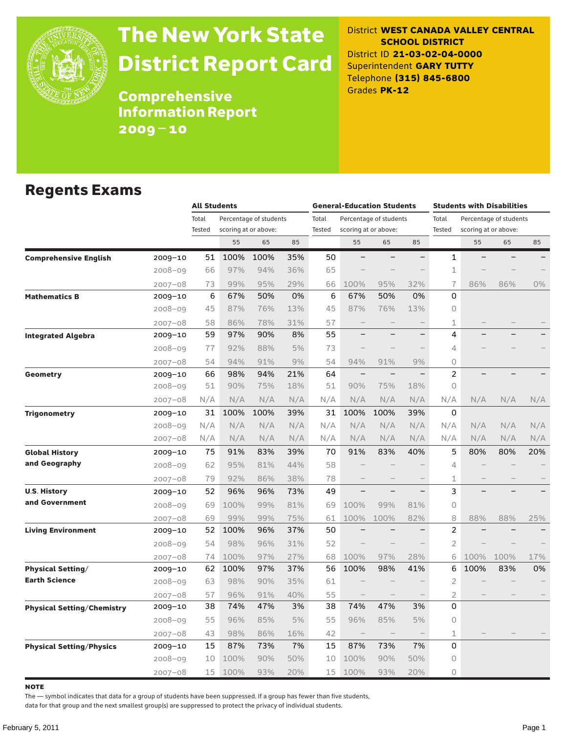

# The New York State District Report Card

#### District **WEST CANADA VALLEY CENTRAL SCHOOL DISTRICT** District ID **21-03-02-04-0000** Superintendent **GARY TUTTY** Telephone **(315) 845-6800** Grades **PK-12**

**Comprehensive** Information Report 2009–10

### Regents Exams

|                                   |             |        | <b>All Students</b> |                        |     |               | <b>General-Education Students</b> |                                  |                          |                | Students with Disabilities |                        |     |  |  |
|-----------------------------------|-------------|--------|---------------------|------------------------|-----|---------------|-----------------------------------|----------------------------------|--------------------------|----------------|----------------------------|------------------------|-----|--|--|
|                                   |             | Total  |                     | Percentage of students |     | Total         |                                   | Percentage of students           |                          | Total          |                            | Percentage of students |     |  |  |
|                                   |             | Tested |                     | scoring at or above:   |     | <b>Tested</b> |                                   | scoring at or above:             |                          | Tested         |                            | scoring at or above:   |     |  |  |
|                                   |             |        | 55                  | 65                     | 85  |               | 55                                | 65                               | 85                       |                | 55                         | 65                     | 85  |  |  |
| <b>Comprehensive English</b>      | 2009-10     | 51     | 100%                | 100%                   | 35% | 50            | $\overline{\phantom{0}}$          |                                  | $\overline{\phantom{0}}$ | 1              |                            |                        |     |  |  |
|                                   | $2008 - 09$ | 66     | 97%                 | 94%                    | 36% | 65            |                                   |                                  |                          | $1\,$          |                            |                        |     |  |  |
|                                   | $2007 - 08$ | 73     | 99%                 | 95%                    | 29% | 66            | 100%                              | 95%                              | 32%                      | $\overline{1}$ | 86%                        | 86%                    | 0%  |  |  |
| <b>Mathematics B</b>              | 2009-10     | 6      | 67%                 | 50%                    | 0%  | 6             | 67%                               | 50%                              | 0%                       | 0              |                            |                        |     |  |  |
|                                   | $2008 - 09$ | 45     | 87%                 | 76%                    | 13% | 45            | 87%                               | 76%                              | 13%                      | 0              |                            |                        |     |  |  |
|                                   | $2007 - 08$ | 58     | 86%                 | 78%                    | 31% | 57            |                                   |                                  |                          | 1              |                            |                        |     |  |  |
| <b>Integrated Algebra</b>         | 2009-10     | 59     | 97%                 | 90%                    | 8%  | 55            |                                   |                                  | $\overline{\phantom{0}}$ | 4              |                            |                        |     |  |  |
|                                   | $2008 - 09$ | 77     | 92%                 | 88%                    | 5%  | 73            |                                   |                                  |                          | 4              |                            |                        |     |  |  |
|                                   | $2007 - 08$ | 54     | 94%                 | 91%                    | 9%  | 54            | 94%                               | 91%                              | 9%                       | $\circ$        |                            |                        |     |  |  |
| Geometry                          | 2009-10     | 66     | 98%                 | 94%                    | 21% | 64            | $\qquad \qquad -$                 |                                  | $\overline{\phantom{0}}$ | $\overline{c}$ |                            |                        |     |  |  |
|                                   | $2008 - 09$ | 51     | 90%                 | 75%                    | 18% | 51            | 90%                               | 75%                              | 18%                      | $\circ$        |                            |                        |     |  |  |
|                                   | $2007 - 08$ | N/A    | N/A                 | N/A                    | N/A | N/A           | N/A                               | N/A                              | N/A                      | N/A            | N/A                        | N/A                    | N/A |  |  |
| <b>Trigonometry</b>               | 2009-10     | 31     | 100%                | 100%                   | 39% | 31            | 100%                              | 100%                             | 39%                      | 0              |                            |                        |     |  |  |
|                                   | $2008 - 09$ | N/A    | N/A                 | N/A                    | N/A | N/A           | N/A                               | N/A                              | N/A                      | N/A            | N/A                        | N/A                    | N/A |  |  |
|                                   | $2007 - 08$ | N/A    | N/A                 | N/A                    | N/A | N/A           | N/A                               | N/A                              | N/A                      | N/A            | N/A                        | N/A                    | N/A |  |  |
| <b>Global History</b>             | 2009-10     | 75     | 91%                 | 83%                    | 39% | 70            | 91%                               | 83%                              | 40%                      | 5              | 80%                        | 80%                    | 20% |  |  |
| and Geography                     | $2008 - 09$ | 62     | 95%                 | 81%                    | 44% | 58            |                                   |                                  |                          | 4              |                            |                        |     |  |  |
|                                   | $2007 - 08$ | 79     | 92%                 | 86%                    | 38% | 78            |                                   |                                  |                          | $\mathbf{1}$   |                            |                        |     |  |  |
| <b>U.S. History</b>               | 2009-10     | 52     | 96%                 | 96%                    | 73% | 49            | $\overline{\phantom{0}}$          |                                  | $\overline{\phantom{0}}$ | 3              |                            |                        |     |  |  |
| and Government                    | $2008 - 09$ | 69     | 100%                | 99%                    | 81% | 69            | 100%                              | 99%                              | 81%                      | $\Omega$       |                            |                        |     |  |  |
|                                   | 2007-08     | 69     | 99%                 | 99%                    | 75% | 61            | 100%                              | 100%                             | 82%                      | 8              | 88%                        | 88%                    | 25% |  |  |
| <b>Living Environment</b>         | 2009-10     | 52     | 100%                | 96%                    | 37% | 50            |                                   |                                  |                          | $\overline{2}$ |                            |                        |     |  |  |
|                                   | $2008 - 09$ | 54     | 98%                 | 96%                    | 31% | 52            | $\overline{\phantom{0}}$          | $\overline{\phantom{0}}$         | $\overline{\phantom{0}}$ | $\overline{2}$ |                            |                        |     |  |  |
|                                   | $2007 - 08$ | 74     | 100%                | 97%                    | 27% | 68            | 100%                              | 97%                              | 28%                      | 6              | 100%                       | 100%                   | 17% |  |  |
| <b>Physical Setting/</b>          | 2009-10     | 62     | 100%                | 97%                    | 37% | 56            | 100%                              | 98%                              | 41%                      | 6              | 100%                       | 83%                    | 0%  |  |  |
| <b>Earth Science</b>              | $2008 - 09$ | 63     | 98%                 | 90%                    | 35% | 61            |                                   |                                  |                          | $\overline{2}$ |                            |                        |     |  |  |
|                                   | $2007 - 08$ | 57     | 96%                 | 91%                    | 40% | 55            | $\qquad \qquad -$                 |                                  |                          | $\overline{2}$ |                            |                        |     |  |  |
| <b>Physical Setting/Chemistry</b> | 2009–10     | 38     | 74%                 | 47%                    | 3%  | 38            | 74%                               | 47%                              | 3%                       | $\Omega$       |                            |                        |     |  |  |
|                                   | $2008 - 09$ | 55     | 96%                 | 85%                    | 5%  | 55            | 96%                               | 85%                              | 5%                       | 0              |                            |                        |     |  |  |
|                                   | $2007 - 08$ | 43     | 98%                 | 86%                    | 16% | 42            | $\qquad \qquad -$                 | $\overbrace{\phantom{12322111}}$ | $\overline{\phantom{m}}$ | $\mathbf{1}$   |                            |                        |     |  |  |
| <b>Physical Setting/Physics</b>   | 2009-10     | 15     | 87%                 | 73%                    | 7%  | 15            | 87%                               | 73%                              | 7%                       | 0              |                            |                        |     |  |  |
|                                   | $2008 - 09$ | 10     | 100%                | 90%                    | 50% | 10            | 100%                              | 90%                              | 50%                      | 0              |                            |                        |     |  |  |
|                                   | $2007 - 08$ | 15     | 100%                | 93%                    | 20% | 15            | 100%                              | 93%                              | 20%                      | $\circ$        |                            |                        |     |  |  |

**NOTE** 

The — symbol indicates that data for a group of students have been suppressed. If a group has fewer than five students,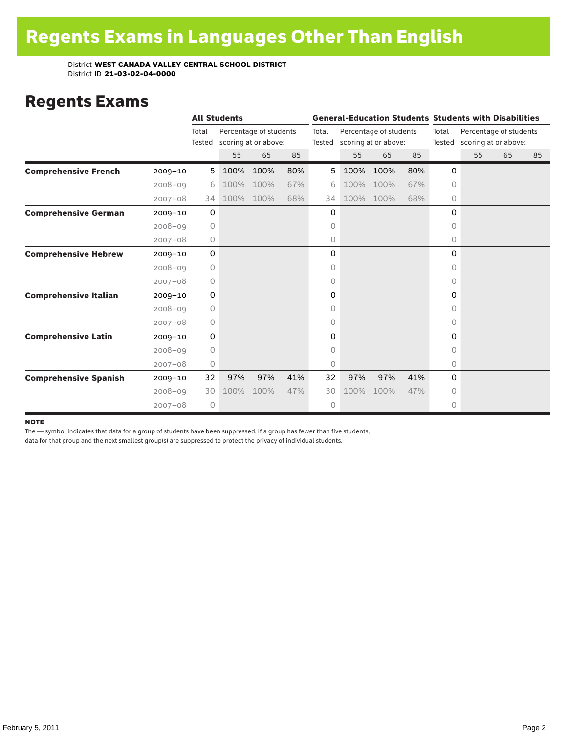### Regents Exams

|                              |             | <b>All Students</b> |      |                                                |     | <b>General-Education Students Students with Disabilities</b> |      |                                                |     |                 |                                                |    |    |
|------------------------------|-------------|---------------------|------|------------------------------------------------|-----|--------------------------------------------------------------|------|------------------------------------------------|-----|-----------------|------------------------------------------------|----|----|
|                              |             | Total<br>Tested     |      | Percentage of students<br>scoring at or above: |     | Total<br>Tested                                              |      | Percentage of students<br>scoring at or above: |     | Total<br>Tested | Percentage of students<br>scoring at or above: |    |    |
|                              |             |                     | 55   | 65                                             | 85  |                                                              | 55   | 65                                             | 85  |                 | 55                                             | 65 | 85 |
| <b>Comprehensive French</b>  | $2009 - 10$ | 5                   | 100% | 100%                                           | 80% | 5                                                            | 100% | 100%                                           | 80% | 0               |                                                |    |    |
|                              | $2008 - 09$ | 6                   | 100% | 100%                                           | 67% | 6                                                            | 100% | 100%                                           | 67% | 0               |                                                |    |    |
|                              | $2007 - 08$ | 34                  | 100% | 100%                                           | 68% | 34                                                           | 100% | 100%                                           | 68% | 0               |                                                |    |    |
| <b>Comprehensive German</b>  | $2009 - 10$ | 0                   |      |                                                |     | 0                                                            |      |                                                |     | 0               |                                                |    |    |
|                              | $2008 - 09$ | $\circ$             |      |                                                |     | 0                                                            |      |                                                |     | 0               |                                                |    |    |
|                              | $2007 - 08$ | 0                   |      |                                                |     | 0                                                            |      |                                                |     | 0               |                                                |    |    |
| <b>Comprehensive Hebrew</b>  | $2009 - 10$ | $\mathbf 0$         |      |                                                |     | 0                                                            |      |                                                |     | 0               |                                                |    |    |
|                              | $2008 - 09$ | $\circ$             |      |                                                |     | 0                                                            |      |                                                |     | $\Omega$        |                                                |    |    |
|                              | $2007 - 08$ | 0                   |      |                                                |     | 0                                                            |      |                                                |     | 0               |                                                |    |    |
| <b>Comprehensive Italian</b> | $2009 - 10$ | 0                   |      |                                                |     | 0                                                            |      |                                                |     | 0               |                                                |    |    |
|                              | $2008 - 09$ | $\circ$             |      |                                                |     | 0                                                            |      |                                                |     | $\circ$         |                                                |    |    |
|                              | $2007 - 08$ | 0                   |      |                                                |     | 0                                                            |      |                                                |     | $\circ$         |                                                |    |    |
| <b>Comprehensive Latin</b>   | $2009 - 10$ | 0                   |      |                                                |     | 0                                                            |      |                                                |     | $\Omega$        |                                                |    |    |
|                              | $2008 - 09$ | 0                   |      |                                                |     | 0                                                            |      |                                                |     | 0               |                                                |    |    |
|                              | $2007 - 08$ | 0                   |      |                                                |     | 0                                                            |      |                                                |     | $\circ$         |                                                |    |    |
| <b>Comprehensive Spanish</b> | $2009 - 10$ | 32                  | 97%  | 97%                                            | 41% | 32                                                           | 97%  | 97%                                            | 41% | $\Omega$        |                                                |    |    |
|                              | $2008 - 09$ | 30                  | 100% | 100%                                           | 47% | 30                                                           | 100% | 100%                                           | 47% | $\Omega$        |                                                |    |    |
|                              | $2007 - 08$ | $\circ$             |      |                                                |     | 0                                                            |      |                                                |     | 0               |                                                |    |    |

#### note

The — symbol indicates that data for a group of students have been suppressed. If a group has fewer than five students,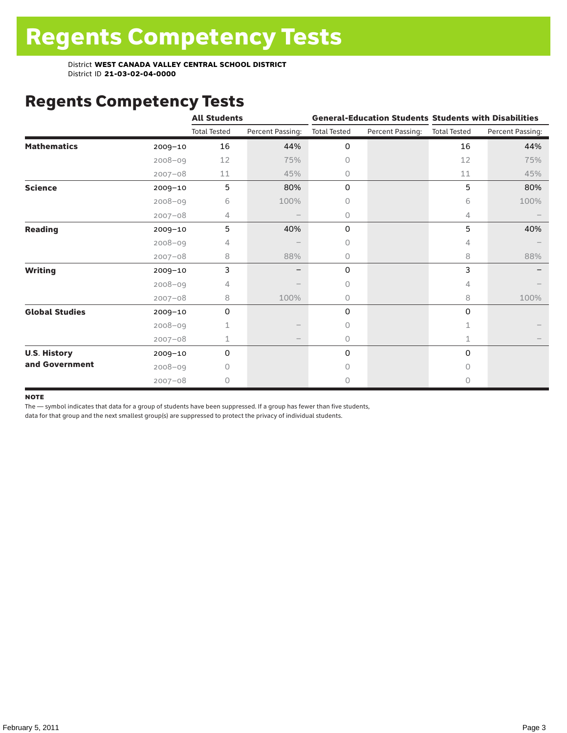# Regents Competency Tests

|                       |             | <b>All Students</b> |                  |                     | <b>General-Education Students Students with Disabilities</b> |                     |                  |
|-----------------------|-------------|---------------------|------------------|---------------------|--------------------------------------------------------------|---------------------|------------------|
|                       |             | <b>Total Tested</b> | Percent Passing: | <b>Total Tested</b> | Percent Passing:                                             | <b>Total Tested</b> | Percent Passing: |
| <b>Mathematics</b>    | $2009 - 10$ | 16                  | 44%              | 0                   |                                                              | 16                  | 44%              |
|                       | $2008 - 09$ | 12                  | 75%              | 0                   |                                                              | 12                  | 75%              |
|                       | $2007 - 08$ | 11                  | 45%              | 0                   |                                                              | 11                  | 45%              |
| <b>Science</b>        | 2009-10     | 5                   | 80%              | 0                   |                                                              | 5                   | 80%              |
|                       | $2008 - 09$ | 6                   | 100%             | 0                   |                                                              | 6                   | 100%             |
|                       | $2007 - 08$ | 4                   |                  | 0                   |                                                              | 4                   |                  |
| <b>Reading</b>        | $2009 - 10$ | 5                   | 40%              | 0                   |                                                              | 5                   | 40%              |
|                       | $2008 - 09$ | 4                   |                  | 0                   |                                                              | 4                   |                  |
|                       | $2007 - 08$ | 8                   | 88%              | 0                   |                                                              | 8                   | 88%              |
| <b>Writing</b>        | 2009-10     | 3                   |                  | 0                   |                                                              | 3                   |                  |
|                       | $2008 - 09$ | 4                   |                  | 0                   |                                                              | 4                   |                  |
|                       | $2007 - 08$ | 8                   | 100%             | 0                   |                                                              | 8                   | 100%             |
| <b>Global Studies</b> | 2009-10     | 0                   |                  | 0                   |                                                              | 0                   |                  |
|                       | $2008 - 09$ | 1                   |                  | 0                   |                                                              | 1                   |                  |
|                       | $2007 - 08$ | 1                   |                  | 0                   |                                                              | $\mathbf 1$         |                  |
| <b>U.S. History</b>   | 2009-10     | 0                   |                  | 0                   |                                                              | $\mathbf 0$         |                  |
| and Government        | $2008 - 09$ | Ω                   |                  | Ω                   |                                                              | $\bigcap$           |                  |
|                       | $2007 - 08$ | 0                   |                  | 0                   |                                                              | 0                   |                  |

#### **NOTE**

The — symbol indicates that data for a group of students have been suppressed. If a group has fewer than five students,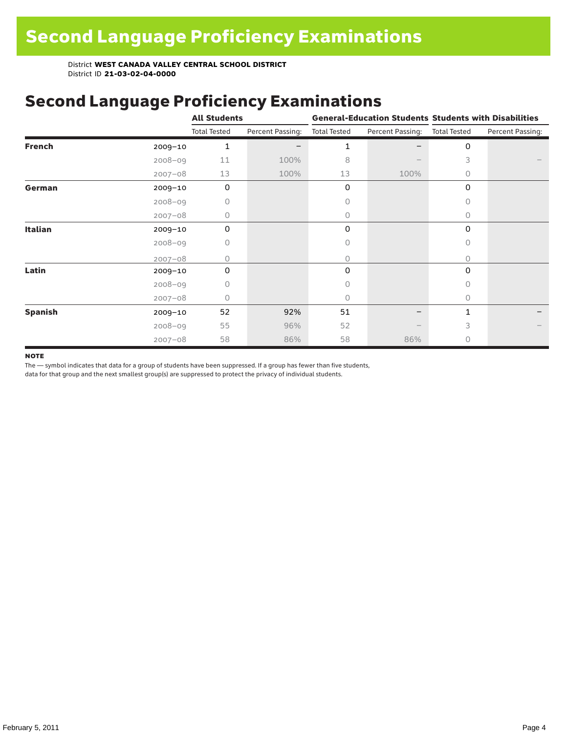# Second Language Proficiency Examinations

|                |             | <b>All Students</b> |                  |                     |                               | <b>General-Education Students Students with Disabilities</b> |                  |  |
|----------------|-------------|---------------------|------------------|---------------------|-------------------------------|--------------------------------------------------------------|------------------|--|
|                |             | <b>Total Tested</b> | Percent Passing: | <b>Total Tested</b> | Percent Passing: Total Tested |                                                              | Percent Passing: |  |
| <b>French</b>  | $2009 - 10$ | 1                   |                  | 1                   |                               | 0                                                            |                  |  |
|                | $2008 - 09$ | 11                  | 100%             | 8                   |                               | 3                                                            |                  |  |
|                | $2007 - 08$ | 13                  | 100%             | 13                  | 100%                          | $\circ$                                                      |                  |  |
| German         | $2009 - 10$ | 0                   |                  | 0                   |                               | $\Omega$                                                     |                  |  |
|                | $2008 - 09$ | 0                   |                  | 0                   |                               | 0                                                            |                  |  |
|                | $2007 - 08$ | 0                   |                  | 0                   |                               | $\Omega$                                                     |                  |  |
| <b>Italian</b> | $2009 - 10$ | 0                   |                  | 0                   |                               | 0                                                            |                  |  |
|                | $2008 - 09$ | 0                   |                  | 0                   |                               | $\Omega$                                                     |                  |  |
|                | $2007 - 08$ | $\Omega$            |                  | 0                   |                               | $\Omega$                                                     |                  |  |
| Latin          | 2009-10     | $\Omega$            |                  | 0                   |                               | 0                                                            |                  |  |
|                | $2008 - 09$ | 0                   |                  | Ω                   |                               | $\Omega$                                                     |                  |  |
|                | $2007 - 08$ | 0                   |                  | 0                   |                               | $\Omega$                                                     |                  |  |
| <b>Spanish</b> | $2009 - 10$ | 52                  | 92%              | 51                  |                               | 1                                                            |                  |  |
|                | $2008 - 09$ | 55                  | 96%              | 52                  |                               | 3                                                            |                  |  |
|                | $2007 - 08$ | 58                  | 86%              | 58                  | 86%                           | $\circ$                                                      |                  |  |

#### **NOTE**

The — symbol indicates that data for a group of students have been suppressed. If a group has fewer than five students,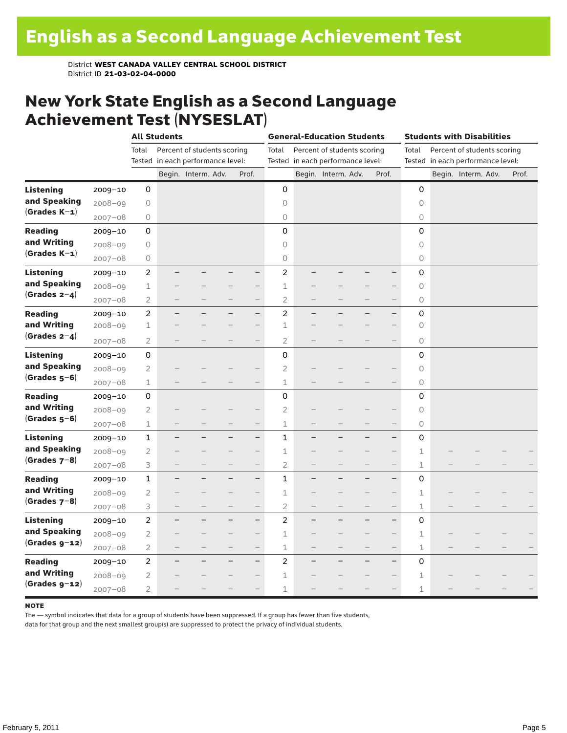### New York State English as a Second Language Achievement Test (NYSESLAT)

|                  |             |                | <b>All Students</b> |                                   |                          |                          |                | <b>General-Education Students</b> |                                   |                   |                          | <b>Students with Disabilities</b> |  |                                   |       |  |
|------------------|-------------|----------------|---------------------|-----------------------------------|--------------------------|--------------------------|----------------|-----------------------------------|-----------------------------------|-------------------|--------------------------|-----------------------------------|--|-----------------------------------|-------|--|
|                  |             | Total          |                     | Percent of students scoring       |                          |                          | Total          |                                   | Percent of students scoring       |                   |                          | Total                             |  | Percent of students scoring       |       |  |
|                  |             |                |                     | Tested in each performance level: |                          |                          |                |                                   | Tested in each performance level: |                   |                          |                                   |  | Tested in each performance level: |       |  |
|                  |             |                |                     | Begin. Interm. Adv.               |                          | Prof.                    |                |                                   | Begin. Interm. Adv.               |                   | Prof.                    |                                   |  | Begin. Interm. Adv.               | Prof. |  |
| <b>Listening</b> | $2009 - 10$ | 0              |                     |                                   |                          |                          | 0              |                                   |                                   |                   |                          | $\mathbf 0$                       |  |                                   |       |  |
| and Speaking     | $2008 - 09$ | $\circ$        |                     |                                   |                          |                          | $\circ$        |                                   |                                   |                   |                          | 0                                 |  |                                   |       |  |
| $(Grades K-1)$   | $2007 - 08$ | 0              |                     |                                   |                          |                          | $\bigcirc$     |                                   |                                   |                   |                          | 0                                 |  |                                   |       |  |
| <b>Reading</b>   | $2009 - 10$ | 0              |                     |                                   |                          |                          | $\mathbf 0$    |                                   |                                   |                   |                          | 0                                 |  |                                   |       |  |
| and Writing      | $2008 - 09$ | 0              |                     |                                   |                          |                          | $\circ$        |                                   |                                   |                   |                          | 0                                 |  |                                   |       |  |
| $(Grades K-1)$   | $2007 - 08$ | 0              |                     |                                   |                          |                          | $\mathsf O$    |                                   |                                   |                   |                          | 0                                 |  |                                   |       |  |
| <b>Listening</b> | $2009 - 10$ | 2              |                     |                                   |                          | $\overline{\phantom{0}}$ | $\overline{c}$ |                                   |                                   |                   |                          | 0                                 |  |                                   |       |  |
| and Speaking     | $2008 - 09$ | $\perp$        |                     |                                   |                          |                          | 1              |                                   |                                   |                   | $\qquad \qquad -$        | 0                                 |  |                                   |       |  |
| $(Grades 2-4)$   | $2007 - 08$ | $\overline{2}$ |                     |                                   | $\overline{\phantom{0}}$ | $\qquad \qquad -$        | $\overline{2}$ | $\overline{\phantom{0}}$          | $\overline{\phantom{0}}$          |                   | $\qquad \qquad -$        | 0                                 |  |                                   |       |  |
| <b>Reading</b>   | $2009 - 10$ | $\overline{c}$ |                     |                                   |                          | $\overline{\phantom{0}}$ | $\overline{c}$ |                                   |                                   |                   | $\qquad \qquad -$        | 0                                 |  |                                   |       |  |
| and Writing      | $2008 - 09$ | 1              |                     |                                   |                          | $\qquad \qquad -$        | 1              |                                   |                                   |                   | $\qquad \qquad -$        | 0                                 |  |                                   |       |  |
| (Grades $2-4$ )  | $2007 - 08$ | 2              |                     |                                   |                          | $\overline{\phantom{0}}$ | 2              |                                   |                                   |                   | $\qquad \qquad -$        | 0                                 |  |                                   |       |  |
| <b>Listening</b> | $2009 - 10$ | 0              |                     |                                   |                          |                          | 0              |                                   |                                   |                   |                          | 0                                 |  |                                   |       |  |
| and Speaking     | $2008 - 09$ | $\overline{2}$ |                     |                                   |                          |                          | $\overline{2}$ |                                   |                                   |                   |                          | 0                                 |  |                                   |       |  |
| $(Grades 5-6)$   | $2007 - 08$ | $\mathbf 1$    |                     |                                   |                          |                          | $\mathbf 1$    |                                   |                                   |                   |                          | 0                                 |  |                                   |       |  |
| <b>Reading</b>   | 2009-10     | 0              |                     |                                   |                          |                          | $\mathsf 0$    |                                   |                                   |                   |                          | 0                                 |  |                                   |       |  |
| and Writing      | $2008 - 09$ | $\overline{2}$ |                     |                                   |                          |                          | $\overline{c}$ |                                   |                                   |                   |                          | 0                                 |  |                                   |       |  |
| $(Grades 5-6)$   | $2007 - 08$ | $\perp$        |                     |                                   |                          | $\overline{\phantom{0}}$ | $\mathbf 1$    |                                   |                                   |                   | $\qquad \qquad -$        | 0                                 |  |                                   |       |  |
| <b>Listening</b> | $2009 - 10$ | $\mathbf{1}$   |                     |                                   |                          | —                        | $\mathbf{1}$   |                                   |                                   |                   | $\qquad \qquad -$        | 0                                 |  |                                   |       |  |
| and Speaking     | $2008 - 09$ | 2              |                     |                                   |                          |                          | 1              |                                   |                                   |                   |                          | 1                                 |  |                                   |       |  |
| $(Grades 7-8)$   | $2007 - 08$ | 3              |                     |                                   |                          | $\qquad \qquad -$        | $\overline{2}$ |                                   |                                   |                   | $\qquad \qquad -$        | 1                                 |  |                                   |       |  |
| <b>Reading</b>   | $2009 - 10$ | 1              |                     |                                   |                          | $\overline{\phantom{0}}$ | 1              |                                   |                                   |                   | $\overline{\phantom{0}}$ | 0                                 |  |                                   |       |  |
| and Writing      | $2008 - 09$ | $\overline{2}$ |                     |                                   |                          | $\qquad \qquad -$        | 1              |                                   |                                   |                   |                          | 1                                 |  |                                   |       |  |
| $(Grades 7-8)$   | $2007 - 08$ | 3              |                     |                                   | $\overline{\phantom{0}}$ | $\qquad \qquad -$        | $\overline{2}$ |                                   |                                   |                   | $\qquad \qquad -$        | $\mathbf 1$                       |  |                                   |       |  |
| <b>Listening</b> | $2009 - 10$ | 2              | -                   |                                   | $\overline{\phantom{0}}$ | $\qquad \qquad -$        | 2              | $\overline{\phantom{0}}$          | ÷,                                | -                 | $\qquad \qquad -$        | 0                                 |  |                                   |       |  |
| and Speaking     | $2008 - 09$ | $\overline{2}$ |                     |                                   |                          | $\overline{\phantom{0}}$ | 1              |                                   |                                   |                   | $\qquad \qquad -$        | 1                                 |  |                                   |       |  |
| $(Grades g-12)$  | $2007 - 08$ | $\overline{2}$ | -                   |                                   | $\qquad \qquad -$        | $\qquad \qquad -$        | 1              |                                   |                                   | $\qquad \qquad -$ | $\qquad \qquad -$        | 1                                 |  |                                   |       |  |
| <b>Reading</b>   | $2009 - 10$ | $\overline{c}$ |                     |                                   | −                        | $\overline{\phantom{0}}$ | $\overline{c}$ |                                   |                                   |                   | $\overline{\phantom{0}}$ | 0                                 |  |                                   |       |  |
| and Writing      | $2008 - 09$ | $\overline{2}$ |                     |                                   |                          | —                        | 1              |                                   |                                   |                   |                          | 1                                 |  |                                   |       |  |
| $(Grades g-12)$  | $2007 - 08$ | $\overline{2}$ |                     |                                   |                          |                          | 1              |                                   |                                   |                   |                          | $\mathbf 1$                       |  |                                   |       |  |

#### **NOTE**

The — symbol indicates that data for a group of students have been suppressed. If a group has fewer than five students,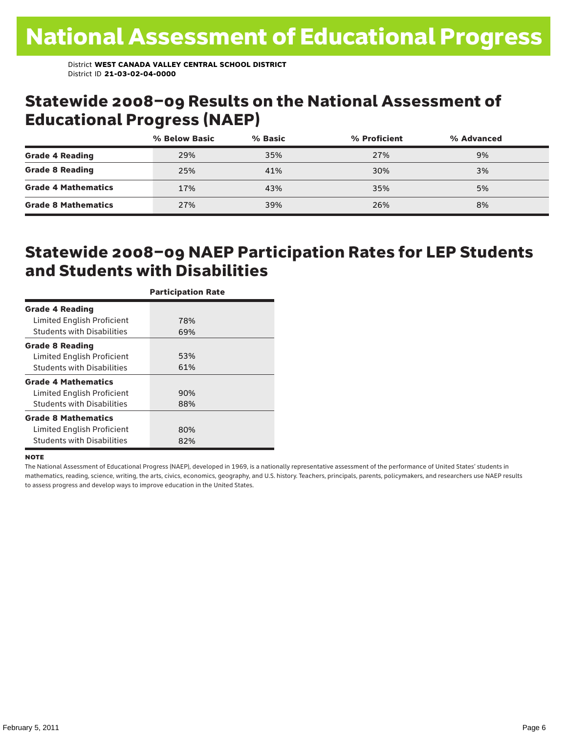### Statewide 2008–09 Results on the National Assessment of Educational Progress (NAEP)

|                            | % Below Basic | % Basic | % Proficient | % Advanced |  |
|----------------------------|---------------|---------|--------------|------------|--|
| <b>Grade 4 Reading</b>     | 29%           | 35%     | 27%          | 9%         |  |
| <b>Grade 8 Reading</b>     | 25%           | 41%     | 30%          | 3%         |  |
| <b>Grade 4 Mathematics</b> | 17%           | 43%     | 35%          | 5%         |  |
| <b>Grade 8 Mathematics</b> | 27%           | 39%     | 26%          | 8%         |  |

### Statewide 2008–09 NAEP Participation Rates for LEP Students and Students with Disabilities

|                                   | <b>Participation Rate</b> |
|-----------------------------------|---------------------------|
| <b>Grade 4 Reading</b>            |                           |
| Limited English Proficient        | 78%                       |
| <b>Students with Disabilities</b> | 69%                       |
| <b>Grade 8 Reading</b>            |                           |
| Limited English Proficient        | 53%                       |
| <b>Students with Disabilities</b> | 61%                       |
| <b>Grade 4 Mathematics</b>        |                           |
| Limited English Proficient        | 90%                       |
| <b>Students with Disabilities</b> | 88%                       |
| <b>Grade 8 Mathematics</b>        |                           |
| Limited English Proficient        | 80%                       |
| <b>Students with Disabilities</b> | 82%                       |

#### **NOTE**

The National Assessment of Educational Progress (NAEP), developed in 1969, is a nationally representative assessment of the performance of United States' students in mathematics, reading, science, writing, the arts, civics, economics, geography, and U.S. history. Teachers, principals, parents, policymakers, and researchers use NAEP results to assess progress and develop ways to improve education in the United States.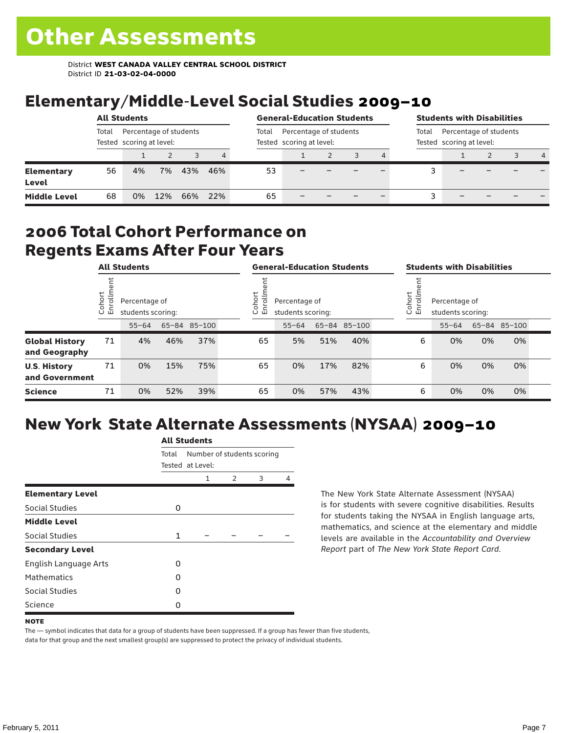# Elementary/Middle-Level Social Studies 2009–10

|                                   | <b>All Students</b>                                         |    |     |       |                                                    |    | <b>General-Education Students</b> |  |  |                                                             |  | <b>Students with Disabilities</b> |  |  |                |  |  |
|-----------------------------------|-------------------------------------------------------------|----|-----|-------|----------------------------------------------------|----|-----------------------------------|--|--|-------------------------------------------------------------|--|-----------------------------------|--|--|----------------|--|--|
|                                   | Percentage of students<br>Total<br>Tested scoring at level: |    |     | Total | Percentage of students<br>Tested scoring at level: |    |                                   |  |  | Percentage of students<br>Total<br>Tested scoring at level: |  |                                   |  |  |                |  |  |
|                                   |                                                             |    |     |       | 4                                                  |    |                                   |  |  | 4                                                           |  |                                   |  |  | $\overline{4}$ |  |  |
| <b>Elementary</b><br><b>Level</b> | 56                                                          | 4% | 7%  | 43%   | 46%                                                | 53 |                                   |  |  |                                                             |  |                                   |  |  |                |  |  |
| <b>Middle Level</b>               | 68                                                          | 0% | 12% | 66%   | 22%                                                | 65 |                                   |  |  |                                                             |  |                                   |  |  |                |  |  |

### 2006 Total Cohort Performance on Regents Exams After Four Years

|                                        | <b>All Students</b>     |           |                                                    |     |  | <b>General-Education Students</b> |                                    |     |              |  | <b>Students with Disabilities</b>                           |           |    |              |  |  |
|----------------------------------------|-------------------------|-----------|----------------------------------------------------|-----|--|-----------------------------------|------------------------------------|-----|--------------|--|-------------------------------------------------------------|-----------|----|--------------|--|--|
|                                        | Cohort<br>$\circ$<br>一山 |           | Percentage of<br>students scoring:<br>65-84 85-100 |     |  |                                   | Percentage of<br>students scoring: |     |              |  | Cohort<br>들<br>Percentage of<br>ā<br>훕<br>students scoring: |           |    |              |  |  |
|                                        |                         | $55 - 64$ |                                                    |     |  |                                   | $55 - 64$                          |     | 65-84 85-100 |  |                                                             | $55 - 64$ |    | 65-84 85-100 |  |  |
| <b>Global History</b><br>and Geography | 71                      | 4%        | 46%                                                | 37% |  | 65                                | 5%                                 | 51% | 40%          |  | 6                                                           | 0%        | 0% | 0%           |  |  |
| <b>U.S. History</b><br>and Government  | 71                      | 0%        | 15%                                                | 75% |  | 65                                | 0%                                 | 17% | 82%          |  | 6                                                           | 0%        | 0% | 0%           |  |  |
| <b>Science</b>                         | 71                      | 0%        | 52%                                                | 39% |  | 65                                | 0%                                 | 57% | 43%          |  | 6                                                           | 0%        | 0% | 0%           |  |  |

# New York State Alternate Assessments (NYSAA) 2009–10

|                         | <b>All Students</b> |                                                |               |   |   |  |  |  |  |  |  |
|-------------------------|---------------------|------------------------------------------------|---------------|---|---|--|--|--|--|--|--|
|                         | Total               | Number of students scoring<br>Tested at Level: |               |   |   |  |  |  |  |  |  |
|                         |                     | 1                                              | $\mathcal{P}$ | 3 | 4 |  |  |  |  |  |  |
| <b>Elementary Level</b> |                     |                                                |               |   |   |  |  |  |  |  |  |
| Social Studies          | 0                   |                                                |               |   |   |  |  |  |  |  |  |
| <b>Middle Level</b>     |                     |                                                |               |   |   |  |  |  |  |  |  |
| Social Studies          | $\mathbf{1}$        |                                                |               |   |   |  |  |  |  |  |  |
| <b>Secondary Level</b>  |                     |                                                |               |   |   |  |  |  |  |  |  |
| English Language Arts   | O                   |                                                |               |   |   |  |  |  |  |  |  |
| <b>Mathematics</b>      | O                   |                                                |               |   |   |  |  |  |  |  |  |
| <b>Social Studies</b>   | O                   |                                                |               |   |   |  |  |  |  |  |  |
| Science                 | Ω                   |                                                |               |   |   |  |  |  |  |  |  |

The New York State Alternate Assessment (NYSAA) is for students with severe cognitive disabilities. Results for students taking the NYSAA in English language arts, mathematics, and science at the elementary and middle levels are available in the *Accountability and Overview Report* part of *The New York State Report Card*.

The — symbol indicates that data for a group of students have been suppressed. If a group has fewer than five students, data for that group and the next smallest group(s) are suppressed to protect the privacy of individual students.

**NOTE**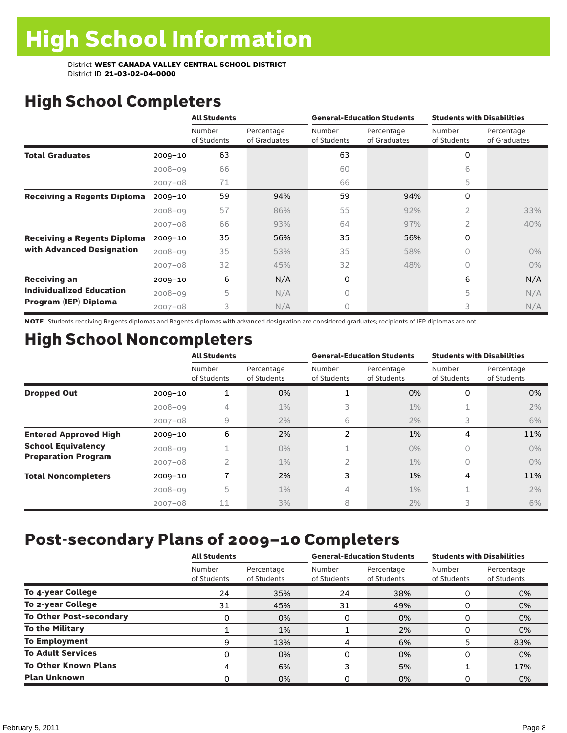# High School Completers

|                                    |             | <b>All Students</b>   |                            |                       | <b>General-Education Students</b> | <b>Students with Disabilities</b> |                            |
|------------------------------------|-------------|-----------------------|----------------------------|-----------------------|-----------------------------------|-----------------------------------|----------------------------|
|                                    |             | Number<br>of Students | Percentage<br>of Graduates | Number<br>of Students | Percentage<br>of Graduates        | Number<br>of Students             | Percentage<br>of Graduates |
| <b>Total Graduates</b>             | $2009 - 10$ | 63                    |                            | 63                    |                                   | 0                                 |                            |
|                                    | $2008 - 09$ | 66                    |                            | 60                    |                                   | 6                                 |                            |
|                                    | $2007 - 08$ | 71                    |                            | 66                    |                                   | 5                                 |                            |
| <b>Receiving a Regents Diploma</b> | $2009 - 10$ | 59                    | 94%                        | 59                    | 94%                               | $\Omega$                          |                            |
|                                    | $2008 - 09$ | 57                    | 86%                        | 55                    | 92%                               | 2                                 | 33%                        |
|                                    | $2007 - 08$ | 66                    | 93%                        | 64                    | 97%                               | $\overline{2}$                    | 40%                        |
| <b>Receiving a Regents Diploma</b> | 2009-10     | 35                    | 56%                        | 35                    | 56%                               | $\Omega$                          |                            |
| with Advanced Designation          | $2008 - 09$ | 35                    | 53%                        | 35                    | 58%                               | $\Omega$                          | $0\%$                      |
|                                    | $2007 - 08$ | 32                    | 45%                        | 32                    | 48%                               | $\bigcap$                         | $0\%$                      |
| <b>Receiving an</b>                | $2009 - 10$ | 6                     | N/A                        | 0                     |                                   | 6                                 | N/A                        |
| <b>Individualized Education</b>    | $2008 - 09$ | 5                     | N/A                        | 0                     |                                   | 5                                 | N/A                        |
| Program (IEP) Diploma              | $2007 - 08$ | 3                     | N/A                        | 0                     |                                   | 3                                 | N/A                        |

NOTE Students receiving Regents diplomas and Regents diplomas with advanced designation are considered graduates; recipients of IEP diplomas are not.

# High School Noncompleters

|                              |             | <b>All Students</b>   |                           |                       | <b>General-Education Students</b> | <b>Students with Disabilities</b> |                           |  |
|------------------------------|-------------|-----------------------|---------------------------|-----------------------|-----------------------------------|-----------------------------------|---------------------------|--|
|                              |             | Number<br>of Students | Percentage<br>of Students | Number<br>of Students | Percentage<br>of Students         | Number<br>of Students             | Percentage<br>of Students |  |
| <b>Dropped Out</b>           | $2009 - 10$ | 1                     | 0%                        |                       | 0%                                | 0                                 | 0%                        |  |
|                              | $2008 - 09$ | 4                     | $1\%$                     | 3                     | $1\%$                             |                                   | 2%                        |  |
|                              | $2007 - 08$ | 9                     | 2%                        | 6                     | 2%                                | 3                                 | 6%                        |  |
| <b>Entered Approved High</b> | $2009 - 10$ | 6                     | 2%                        | $\mathfrak{p}$        | 1%                                | 4                                 | 11%                       |  |
| <b>School Equivalency</b>    | $2008 - 09$ |                       | $0\%$                     |                       | $0\%$                             | 0                                 | $0\%$                     |  |
| <b>Preparation Program</b>   | $2007 - 08$ | 2                     | $1\%$                     | 2                     | $1\%$                             | $\circ$                           | $0\%$                     |  |
| <b>Total Noncompleters</b>   | $2009 - 10$ | 7                     | 2%                        | 3                     | 1%                                | 4                                 | 11%                       |  |
|                              | $2008 - 09$ | 5                     | $1\%$                     | 4                     | $1\%$                             |                                   | 2%                        |  |
|                              | $2007 - 08$ | 11                    | 3%                        | 8                     | 2%                                | 3                                 | 6%                        |  |

# Post-secondary Plans of 2009–10 Completers

|                                | <b>All Students</b>   |                           | <b>General-Education Students</b> |                           | <b>Students with Disabilities</b> |                           |
|--------------------------------|-----------------------|---------------------------|-----------------------------------|---------------------------|-----------------------------------|---------------------------|
|                                | Number<br>of Students | Percentage<br>of Students | Number<br>of Students             | Percentage<br>of Students | Number<br>of Students             | Percentage<br>of Students |
| To 4-year College              | 24                    | 35%                       | 24                                | 38%                       | 0                                 | 0%                        |
| To 2-year College              | 31                    | 45%                       | 31                                | 49%                       | 0                                 | 0%                        |
| <b>To Other Post-secondary</b> | 0                     | 0%                        | 0                                 | 0%                        | O                                 | 0%                        |
| <b>To the Military</b>         |                       | 1%                        |                                   | 2%                        | 0                                 | 0%                        |
| <b>To Employment</b>           | 9                     | 13%                       | 4                                 | 6%                        | 5                                 | 83%                       |
| <b>To Adult Services</b>       | 0                     | 0%                        | 0                                 | 0%                        | O                                 | 0%                        |
| <b>To Other Known Plans</b>    | 4                     | 6%                        | 3                                 | 5%                        |                                   | 17%                       |
| <b>Plan Unknown</b>            | 0                     | 0%                        | 0                                 | 0%                        | O                                 | 0%                        |